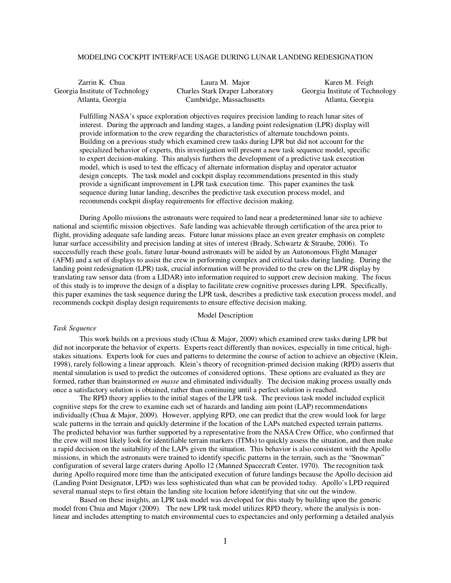# MODELING COCKPIT INTERFACE USAGE DURING LUNAR LANDING REDESIGNATION

| Zarrin K. Chua                  | Laura M. Major                  | Karen M. Feigh                  |
|---------------------------------|---------------------------------|---------------------------------|
| Georgia Institute of Technology | Charles Stark Draper Laboratory | Georgia Institute of Technology |
| Atlanta, Georgia                | Cambridge, Massachusetts        | Atlanta, Georgia                |

Fulfilling NASA's space exploration objectives requires precision landing to reach lunar sites of interest. During the approach and landing stages, a landing point redesignation (LPR) display will provide information to the crew regarding the characteristics of alternate touchdown points. Building on a previous study which examined crew tasks during LPR but did not account for the specialized behavior of experts, this investigation will present a new task sequence model, specific to expert decision-making. This analysis furthers the development of a predictive task execution model, which is used to test the efficacy of alternate information display and operator actuator design concepts. The task model and cockpit display recommendations presented in this study provide a significant improvement in LPR task execution time. This paper examines the task sequence during lunar landing, describes the predictive task execution process model, and recommends cockpit display requirements for effective decision making.

 During Apollo missions the astronauts were required to land near a predetermined lunar site to achieve national and scientific mission objectives. Safe landing was achievable through certification of the area prior to flight, providing adequate safe landing areas. Future lunar missions place an even greater emphasis on complete lunar surface accessibility and precision landing at sites of interest (Brady, Schwartz & Straube, 2006). To successfully reach these goals, future lunar-bound astronauts will be aided by an Autonomous Flight Manager (AFM) and a set of displays to assist the crew in performing complex and critical tasks during landing. During the landing point redesignation (LPR) task, crucial information will be provided to the crew on the LPR display by translating raw sensor data (from a LIDAR) into information required to support crew decision making. The focus of this study is to improve the design of a display to facilitate crew cognitive processes during LPR. Specifically, this paper examines the task sequence during the LPR task, describes a predictive task execution process model, and recommends cockpit display design requirements to ensure effective decision making.

# Model Description

## *Task Sequence*

This work builds on a previous study (Chua & Major, 2009) which examined crew tasks during LPR but did not incorporate the behavior of experts. Experts react differently than novices, especially in time critical, highstakes situations. Experts look for cues and patterns to determine the course of action to achieve an objective (Klein, 1998), rarely following a linear approach. Klein's theory of recognition-primed decision making (RPD) asserts that mental simulation is used to predict the outcomes of considered options. These options are evaluated as they are formed, rather than brainstormed *en masse* and eliminated individually. The decision making process usually ends once a satisfactory solution is obtained, rather than continuing until a perfect solution is reached.

The RPD theory applies to the initial stages of the LPR task. The previous task model included explicit cognitive steps for the crew to examine each set of hazards and landing aim point (LAP) recommendations individually (Chua & Major, 2009). However, applying RPD, one can predict that the crew would look for large scale patterns in the terrain and quickly determine if the location of the LAPs matched expected terrain patterns. The predicted behavior was further supported by a representative from the NASA Crew Office, who confirmed that the crew will most likely look for identifiable terrain markers (ITMs) to quickly assess the situation, and then make a rapid decision on the suitability of the LAPs given the situation. This behavior is also consistent with the Apollo missions, in which the astronauts were trained to identify specific patterns in the terrain, such as the "Snowman" configuration of several large craters during Apollo 12 (Manned Spacecraft Center, 1970). The recognition task during Apollo required more time than the anticipated execution of future landings because the Apollo decision aid (Landing Point Designator, LPD) was less sophisticated than what can be provided today. Apollo's LPD required several manual steps to first obtain the landing site location before identifying that site out the window.

Based on these insights, an LPR task model was developed for this study by building upon the generic model from Chua and Major (2009). The new LPR task model utilizes RPD theory, where the analysis is nonlinear and includes attempting to match environmental cues to expectancies and only performing a detailed analysis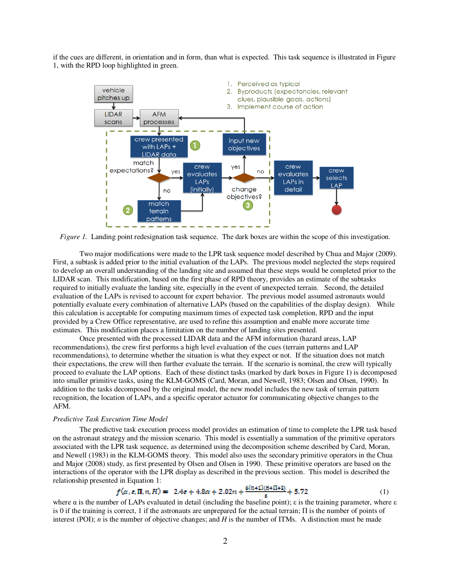if the cues are different, in orientation and in form, than what is expected. This task sequence is illustrated in Figure 1, with the RPD loop highlighted in green.



*Figure 1.* Landing point redesignation task sequence. The dark boxes are within the scope of this investigation.

Two major modifications were made to the LPR task sequence model described by Chua and Major (2009). First, a subtask is added prior to the initial evaluation of the LAPs. The previous model neglected the steps required to develop an overall understanding of the landing site and assumed that these steps would be completed prior to the LIDAR scan. This modification, based on the first phase of RPD theory, provides an estimate of the subtasks required to initially evaluate the landing site, especially in the event of unexpected terrain. Second, the detailed evaluation of the LAPs is revised to account for expert behavior. The previous model assumed astronauts would potentially evaluate every combination of alternative LAPs (based on the capabilities of the display design). While this calculation is acceptable for computing maximum times of expected task completion, RPD and the input provided by a Crew Office representative, are used to refine this assumption and enable more accurate time estimates. This modification places a limitation on the number of landing sites presented.

Once presented with the processed LIDAR data and the AFM information (hazard areas, LAP recommendations), the crew first performs a high level evaluation of the cues (terrain patterns and LAP recommendations), to determine whether the situation is what they expect or not. If the situation does not match their expectations, the crew will then further evaluate the terrain. If the scenario is nominal, the crew will typically proceed to evaluate the LAP options. Each of these distinct tasks (marked by dark boxes in Figure 1) is decomposed into smaller primitive tasks, using the KLM-GOMS (Card, Moran, and Newell, 1983; Olsen and Olsen, 1990). In addition to the tasks decomposed by the original model, the new model includes the new task of terrain pattern recognition, the location of LAPs, and a specific operator actuator for communicating objective changes to the AFM.

### *Predictive Task Execution Time Model*

The predictive task execution process model provides an estimation of time to complete the LPR task based on the astronaut strategy and the mission scenario. This model is essentially a summation of the primitive operators associated with the LPR task sequence, as determined using the decomposition scheme described by Card, Moran, and Newell (1983) in the KLM-GOMS theory. This model also uses the secondary primitive operators in the Chua and Major (2008) study, as first presented by Olsen and Olsen in 1990. These primitive operators are based on the interactions of the operator with the LPR display as described in the previous section. This model is described the relationship presented in Equation 1:

$$
f(\alpha, \varepsilon, \Pi, n, H) = 2.4\varepsilon + 4.8\alpha + 2.02n + \frac{6.01 + 17(H+11+3)}{\varepsilon} + 5.72
$$
 (1)

where  $\alpha$  is the number of LAPs evaluated in detail (including the baseline point);  $\varepsilon$  is the training parameter, where  $\varepsilon$ is 0 if the training is correct, 1 if the astronauts are unprepared for the actual terrain;  $\Pi$  is the number of points of interest (POI); *n* is the number of objective changes; and *H* is the number of ITMs. A distinction must be made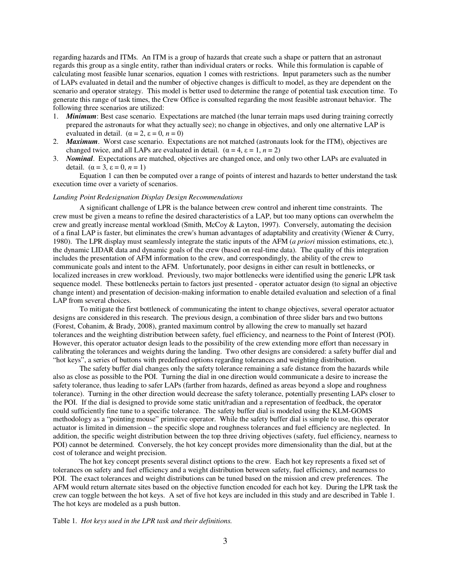regarding hazards and ITMs. An ITM is a group of hazards that create such a shape or pattern that an astronaut regards this group as a single entity, rather than individual craters or rocks. While this formulation is capable of calculating most feasible lunar scenarios, equation 1 comes with restrictions. Input parameters such as the number of LAPs evaluated in detail and the number of objective changes is difficult to model, as they are dependent on the scenario and operator strategy. This model is better used to determine the range of potential task execution time. To generate this range of task times, the Crew Office is consulted regarding the most feasible astronaut behavior. The following three scenarios are utilized:

- 1. *Minimum*: Best case scenario. Expectations are matched (the lunar terrain maps used during training correctly prepared the astronauts for what they actually see); no change in objectives, and only one alternative LAP is evaluated in detail.  $(\alpha = 2, \varepsilon = 0, n = 0)$
- 2. *Maximum*. Worst case scenario. Expectations are not matched (astronauts look for the ITM), objectives are changed twice, and all LAPs are evaluated in detail.  $(\alpha = 4, \epsilon = 1, n = 2)$
- 3. *Nominal*. Expectations are matched, objectives are changed once, and only two other LAPs are evaluated in detail.  $(\alpha = 3, \varepsilon = 0, n = 1)$

Equation 1 can then be computed over a range of points of interest and hazards to better understand the task execution time over a variety of scenarios.

# *Landing Point Redesignation Display Design Recommendations*

A significant challenge of LPR is the balance between crew control and inherent time constraints. The crew must be given a means to refine the desired characteristics of a LAP, but too many options can overwhelm the crew and greatly increase mental workload (Smith, McCoy & Layton, 1997). Conversely, automating the decision of a final LAP is faster, but eliminates the crew's human advantages of adaptability and creativity (Wiener & Curry, 1980). The LPR display must seamlessly integrate the static inputs of the AFM (*a priori* mission estimations, etc.), the dynamic LIDAR data and dynamic goals of the crew (based on real-time data). The quality of this integration includes the presentation of AFM information to the crew, and correspondingly, the ability of the crew to communicate goals and intent to the AFM. Unfortunately, poor designs in either can result in bottlenecks, or localized increases in crew workload. Previously, two major bottlenecks were identified using the generic LPR task sequence model. These bottlenecks pertain to factors just presented - operator actuator design (to signal an objective change intent) and presentation of decision-making information to enable detailed evaluation and selection of a final LAP from several choices.

To mitigate the first bottleneck of communicating the intent to change objectives, several operator actuator designs are considered in this research. The previous design, a combination of three slider bars and two buttons (Forest, Cohanim, & Brady, 2008), granted maximum control by allowing the crew to manually set hazard tolerances and the weighting distribution between safety, fuel efficiency, and nearness to the Point of Interest (POI). However, this operator actuator design leads to the possibility of the crew extending more effort than necessary in calibrating the tolerances and weights during the landing. Two other designs are considered: a safety buffer dial and "hot keys", a series of buttons with predefined options regarding tolerances and weighting distribution.

The safety buffer dial changes only the safety tolerance remaining a safe distance from the hazards while also as close as possible to the POI. Turning the dial in one direction would communicate a desire to increase the safety tolerance, thus leading to safer LAPs (farther from hazards, defined as areas beyond a slope and roughness tolerance). Turning in the other direction would decrease the safety tolerance, potentially presenting LAPs closer to the POI. If the dial is designed to provide some static unit/radian and a representation of feedback, the operator could sufficiently fine tune to a specific tolerance. The safety buffer dial is modeled using the KLM-GOMS methodology as a "pointing mouse" primitive operator. While the safety buffer dial is simple to use, this operator actuator is limited in dimension – the specific slope and roughness tolerances and fuel efficiency are neglected. In addition, the specific weight distribution between the top three driving objectives (safety, fuel efficiency, nearness to POI) cannot be determined. Conversely, the hot key concept provides more dimensionality than the dial, but at the cost of tolerance and weight precision.

The hot key concept presents several distinct options to the crew. Each hot key represents a fixed set of tolerances on safety and fuel efficiency and a weight distribution between safety, fuel efficiency, and nearness to POI. The exact tolerances and weight distributions can be tuned based on the mission and crew preferences. The AFM would return alternate sites based on the objective function encoded for each hot key. During the LPR task the crew can toggle between the hot keys. A set of five hot keys are included in this study and are described in Table 1. The hot keys are modeled as a push button.

# Table 1. *Hot keys used in the LPR task and their definitions.*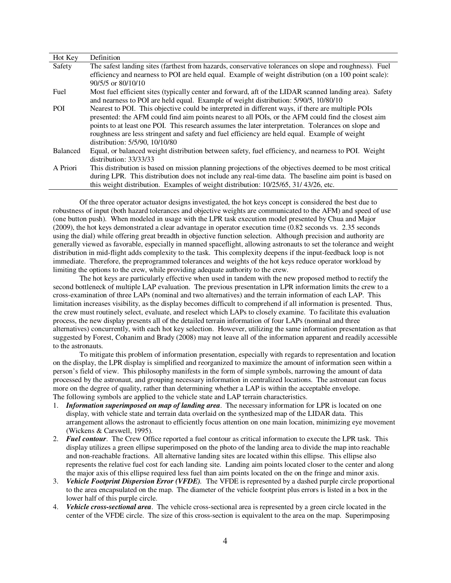| Hot Key    | Definition                                                                                                                                                                                                                                                                                                                                                                                                                                         |
|------------|----------------------------------------------------------------------------------------------------------------------------------------------------------------------------------------------------------------------------------------------------------------------------------------------------------------------------------------------------------------------------------------------------------------------------------------------------|
| Safety     | The safest landing sites (farthest from hazards, conservative tolerances on slope and roughness). Fuel                                                                                                                                                                                                                                                                                                                                             |
|            | efficiency and nearness to POI are held equal. Example of weight distribution (on a 100 point scale):<br>$90/5/5$ or $80/10/10$                                                                                                                                                                                                                                                                                                                    |
| Fuel       | Most fuel efficient sites (typically center and forward, aft of the LIDAR scanned landing area). Safety<br>and nearness to POI are held equal. Example of weight distribution: 5/90/5, 10/80/10                                                                                                                                                                                                                                                    |
| <b>POI</b> | Nearest to POI. This objective could be interpreted in different ways, if there are multiple POIs<br>presented: the AFM could find aim points nearest to all POIs, or the AFM could find the closest aim<br>points to at least one POI. This research assumes the later interpretation. Tolerances on slope and<br>roughness are less stringent and safety and fuel efficiency are held equal. Example of weight<br>distribution: 5/5/90, 10/10/80 |
| Balanced   | Equal, or balanced weight distribution between safety, fuel efficiency, and nearness to POI. Weight<br>distribution: $33/33/33$                                                                                                                                                                                                                                                                                                                    |
| A Priori   | This distribution is based on mission planning projections of the objectives deemed to be most critical<br>during LPR. This distribution does not include any real-time data. The baseline aim point is based on<br>this weight distribution. Examples of weight distribution: $10/25/65$ , $31/43/26$ , etc.                                                                                                                                      |

Of the three operator actuator designs investigated, the hot keys concept is considered the best due to robustness of input (both hazard tolerances and objective weights are communicated to the AFM) and speed of use (one button push). When modeled in usage with the LPR task execution model presented by Chua and Major (2009), the hot keys demonstrated a clear advantage in operator execution time (0.82 seconds vs. 2.35 seconds using the dial) while offering great breadth in objective function selection. Although precision and authority are generally viewed as favorable, especially in manned spaceflight, allowing astronauts to set the tolerance and weight distribution in mid-flight adds complexity to the task. This complexity deepens if the input-feedback loop is not immediate. Therefore, the preprogrammed tolerances and weights of the hot keys reduce operator workload by limiting the options to the crew, while providing adequate authority to the crew.

The hot keys are particularly effective when used in tandem with the new proposed method to rectify the second bottleneck of multiple LAP evaluation. The previous presentation in LPR information limits the crew to a cross-examination of three LAPs (nominal and two alternatives) and the terrain information of each LAP. This limitation increases visibility, as the display becomes difficult to comprehend if all information is presented. Thus, the crew must routinely select, evaluate, and reselect which LAPs to closely examine. To facilitate this evaluation process, the new display presents all of the detailed terrain information of four LAPs (nominal and three alternatives) concurrently, with each hot key selection. However, utilizing the same information presentation as that suggested by Forest, Cohanim and Brady (2008) may not leave all of the information apparent and readily accessible to the astronauts.

To mitigate this problem of information presentation, especially with regards to representation and location on the display, the LPR display is simplified and reorganized to maximize the amount of information seen within a person's field of view. This philosophy manifests in the form of simple symbols, narrowing the amount of data processed by the astronaut, and grouping necessary information in centralized locations. The astronaut can focus more on the degree of quality, rather than determining whether a LAP is within the acceptable envelope. The following symbols are applied to the vehicle state and LAP terrain characteristics.

- 1. *Information superimposed on map of landing area*. The necessary information for LPR is located on one display, with vehicle state and terrain data overlaid on the synthesized map of the LIDAR data. This arrangement allows the astronaut to efficiently focus attention on one main location, minimizing eye movement (Wickens & Carswell, 1995).
- 2. *Fuel contour*. The Crew Office reported a fuel contour as critical information to execute the LPR task. This display utilizes a green ellipse superimposed on the photo of the landing area to divide the map into reachable and non-reachable fractions. All alternative landing sites are located within this ellipse. This ellipse also represents the relative fuel cost for each landing site. Landing aim points located closer to the center and along the major axis of this ellipse required less fuel than aim points located on the on the fringe and minor axis.
- 3. *Vehicle Footprint Dispersion Error (VFDE).* The VFDE is represented by a dashed purple circle proportional to the area encapsulated on the map. The diameter of the vehicle footprint plus errors is listed in a box in the lower half of this purple circle.
- 4. *Vehicle cross-sectional area*. The vehicle cross-sectional area is represented by a green circle located in the center of the VFDE circle. The size of this cross-section is equivalent to the area on the map. Superimposing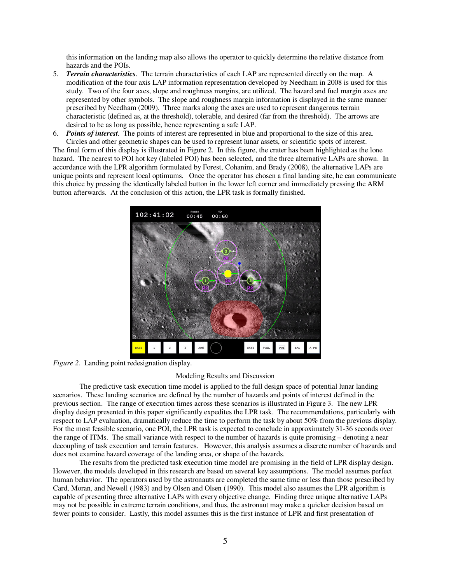this information on the landing map also allows the operator to quickly determine the relative distance from hazards and the POIs.

- 5. *Terrain characteristics*. The terrain characteristics of each LAP are represented directly on the map. A modification of the four axis LAP information representation developed by Needham in 2008 is used for this study. Two of the four axes, slope and roughness margins, are utilized. The hazard and fuel margin axes are represented by other symbols. The slope and roughness margin information is displayed in the same manner prescribed by Needham (2009). Three marks along the axes are used to represent dangerous terrain characteristic (defined as, at the threshold), tolerable, and desired (far from the threshold). The arrows are desired to be as long as possible, hence representing a safe LAP.
- 6. *Points of interest.* The points of interest are represented in blue and proportional to the size of this area. Circles and other geometric shapes can be used to represent lunar assets, or scientific spots of interest. The final form of this display is illustrated in Figure 2. In this figure, the crater has been highlighted as the lone hazard. The nearest to POI hot key (labeled POI) has been selected, and the three alternative LAPs are shown. In accordance with the LPR algorithm formulated by Forest, Cohanim, and Brady (2008), the alternative LAPs are unique points and represent local optimums. Once the operator has chosen a final landing site, he can communicate this choice by pressing the identically labeled button in the lower left corner and immediately pressing the ARM button afterwards. At the conclusion of this action, the LPR task is formally finished.



*Figure 2.* Landing point redesignation display.

# Modeling Results and Discussion

 The predictive task execution time model is applied to the full design space of potential lunar landing scenarios. These landing scenarios are defined by the number of hazards and points of interest defined in the previous section. The range of execution times across these scenarios is illustrated in Figure 3. The new LPR display design presented in this paper significantly expedites the LPR task. The recommendations, particularly with respect to LAP evaluation, dramatically reduce the time to perform the task by about 50% from the previous display. For the most feasible scenario, one POI, the LPR task is expected to conclude in approximately 31-36 seconds over the range of ITMs. The small variance with respect to the number of hazards is quite promising – denoting a near decoupling of task execution and terrain features. However, this analysis assumes a discrete number of hazards and does not examine hazard coverage of the landing area, or shape of the hazards.

The results from the predicted task execution time model are promising in the field of LPR display design. However, the models developed in this research are based on several key assumptions. The model assumes perfect human behavior. The operators used by the astronauts are completed the same time or less than those prescribed by Card, Moran, and Newell (1983) and by Olsen and Olsen (1990). This model also assumes the LPR algorithm is capable of presenting three alternative LAPs with every objective change. Finding three unique alternative LAPs may not be possible in extreme terrain conditions, and thus, the astronaut may make a quicker decision based on fewer points to consider. Lastly, this model assumes this is the first instance of LPR and first presentation of